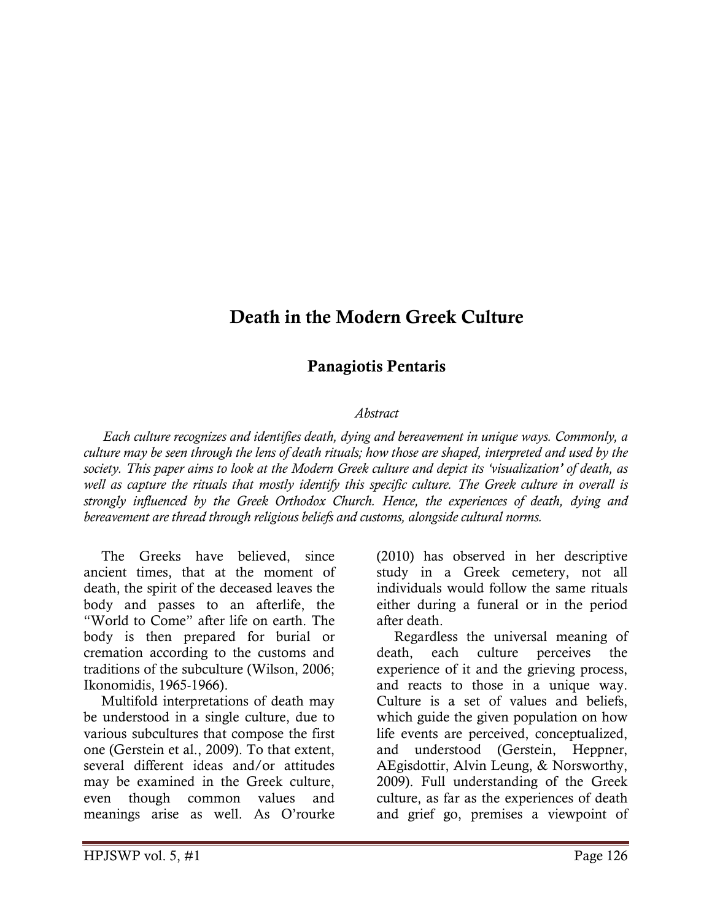# Death in the Modern Greek Culture

## Panagiotis Pentaris

#### Abstract

 Each culture recognizes and identifies death, dying and bereavement in unique ways. Commonly, a culture may be seen through the lens of death rituals; how those are shaped, interpreted and used by the society. This paper aims to look at the Modern Greek culture and depict its 'visualization' of death, as well as capture the rituals that mostly identify this specific culture. The Greek culture in overall is strongly influenced by the Greek Orthodox Church. Hence, the experiences of death, dying and bereavement are thread through religious beliefs and customs, alongside cultural norms.

 The Greeks have believed, since ancient times, that at the moment of death, the spirit of the deceased leaves the body and passes to an afterlife, the "World to Come" after life on earth. The body is then prepared for burial or cremation according to the customs and traditions of the subculture (Wilson, 2006; Ikonomidis, 1965-1966).

 Multifold interpretations of death may be understood in a single culture, due to various subcultures that compose the first one (Gerstein et al., 2009). To that extent, several different ideas and/or attitudes may be examined in the Greek culture, even though common values and meanings arise as well. As O'rourke

(2010) has observed in her descriptive study in a Greek cemetery, not all individuals would follow the same rituals either during a funeral or in the period after death.

 Regardless the universal meaning of death, each culture perceives the experience of it and the grieving process, and reacts to those in a unique way. Culture is a set of values and beliefs, which guide the given population on how life events are perceived, conceptualized, and understood (Gerstein, Heppner, AEgisdottir, Alvin Leung, & Norsworthy, 2009). Full understanding of the Greek culture, as far as the experiences of death and grief go, premises a viewpoint of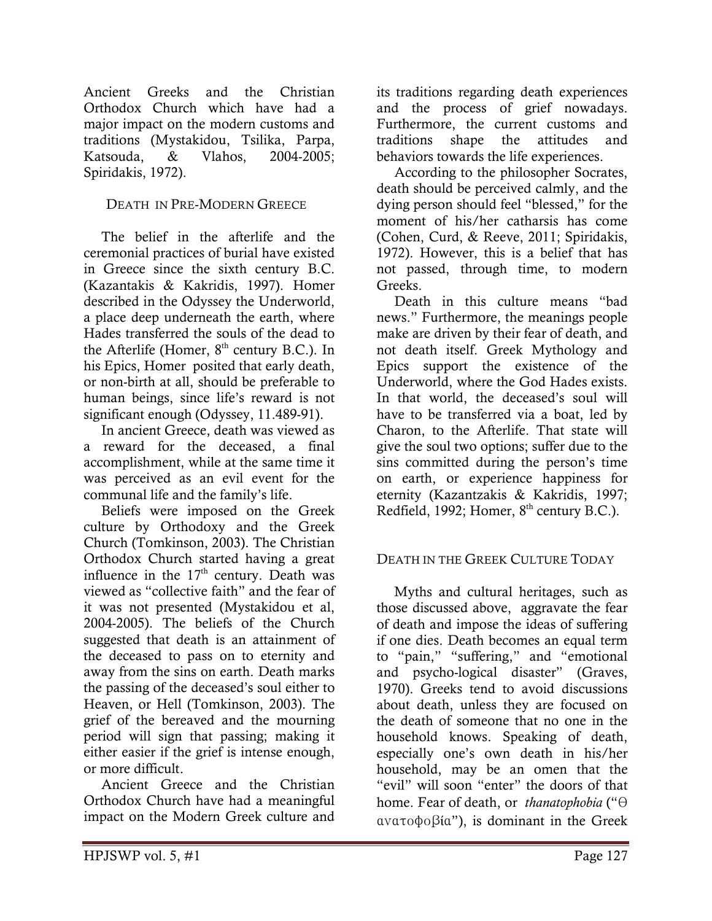Ancient Greeks and the Christian Orthodox Church which have had a major impact on the modern customs and traditions (Mystakidou, Tsilika, Parpa, Katsouda, & Vlahos, 2004-2005; Spiridakis, 1972).

## DEATH IN PRE-MODERN GREECE

 The belief in the afterlife and the ceremonial practices of burial have existed in Greece since the sixth century B.C. (Kazantakis & Kakridis, 1997). Homer described in the Odyssey the Underworld, a place deep underneath the earth, where Hades transferred the souls of the dead to the Afterlife (Homer,  $8<sup>th</sup>$  century B.C.). In his Epics, Homer posited that early death, or non-birth at all, should be preferable to human beings, since life's reward is not significant enough (Odyssey, 11.489-91).

 In ancient Greece, death was viewed as a reward for the deceased, a final accomplishment, while at the same time it was perceived as an evil event for the communal life and the family's life.

 Beliefs were imposed on the Greek culture by Orthodoxy and the Greek Church (Tomkinson, 2003). The Christian Orthodox Church started having a great influence in the  $17<sup>th</sup>$  century. Death was viewed as "collective faith" and the fear of it was not presented (Mystakidou et al, 2004-2005). The beliefs of the Church suggested that death is an attainment of the deceased to pass on to eternity and away from the sins on earth. Death marks the passing of the deceased's soul either to Heaven, or Hell (Tomkinson, 2003). The grief of the bereaved and the mourning period will sign that passing; making it either easier if the grief is intense enough, or more difficult.

 Ancient Greece and the Christian Orthodox Church have had a meaningful impact on the Modern Greek culture and

its traditions regarding death experiences and the process of grief nowadays. Furthermore, the current customs and traditions shape the attitudes and behaviors towards the life experiences.

 According to the philosopher Socrates, death should be perceived calmly, and the dying person should feel "blessed," for the moment of his/her catharsis has come (Cohen, Curd, & Reeve, 2011; Spiridakis, 1972). However, this is a belief that has not passed, through time, to modern Greeks.

 Death in this culture means "bad news." Furthermore, the meanings people make are driven by their fear of death, and not death itself. Greek Mythology and Epics support the existence of the Underworld, where the God Hades exists. In that world, the deceased's soul will have to be transferred via a boat, led by Charon, to the Afterlife. That state will give the soul two options; suffer due to the sins committed during the person's time on earth, or experience happiness for eternity (Kazantzakis & Kakridis, 1997; Redfield, 1992; Homer,  $8<sup>th</sup>$  century B.C.).

#### DEATH IN THE GREEK CULTURE TODAY

 Myths and cultural heritages, such as those discussed above, aggravate the fear of death and impose the ideas of suffering if one dies. Death becomes an equal term to "pain," "suffering," and "emotional and psycho-logical disaster" (Graves, 1970). Greeks tend to avoid discussions about death, unless they are focused on the death of someone that no one in the household knows. Speaking of death, especially one's own death in his/her household, may be an omen that the "evil" will soon "enter" the doors of that home. Fear of death, or thanatophobia ("θ ανατοφοβία"), is dominant in the Greek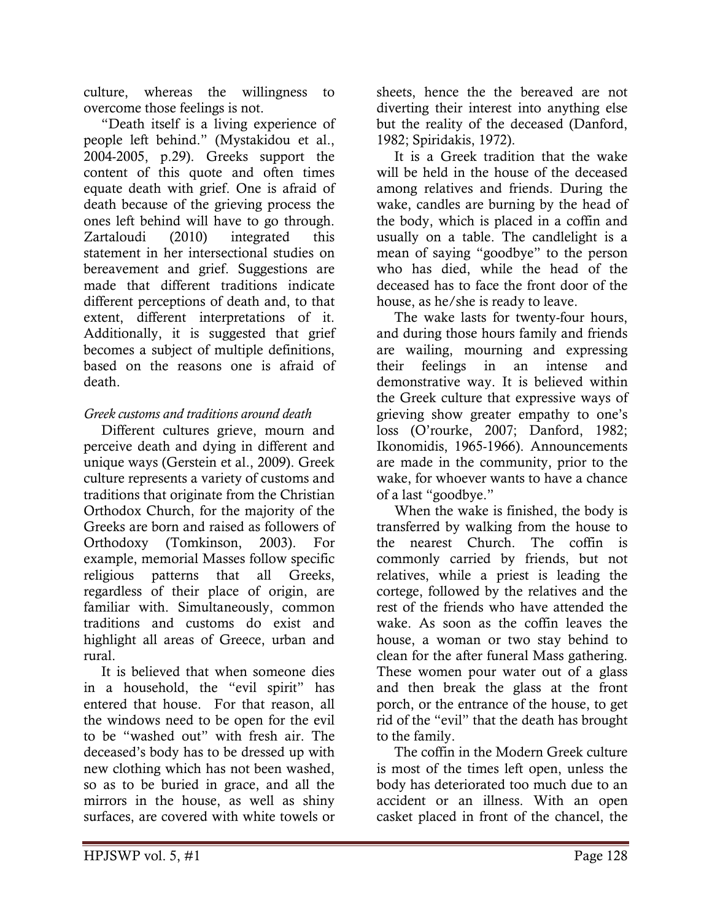culture, whereas the willingness to overcome those feelings is not.

 "Death itself is a living experience of people left behind." (Mystakidou et al., 2004-2005, p.29). Greeks support the content of this quote and often times equate death with grief. One is afraid of death because of the grieving process the ones left behind will have to go through. Zartaloudi (2010) integrated this statement in her intersectional studies on bereavement and grief. Suggestions are made that different traditions indicate different perceptions of death and, to that extent, different interpretations of it. Additionally, it is suggested that grief becomes a subject of multiple definitions, based on the reasons one is afraid of death.

## Greek customs and traditions around death

 Different cultures grieve, mourn and perceive death and dying in different and unique ways (Gerstein et al., 2009). Greek culture represents a variety of customs and traditions that originate from the Christian Orthodox Church, for the majority of the Greeks are born and raised as followers of Orthodoxy (Tomkinson, 2003). For example, memorial Masses follow specific religious patterns that all Greeks, regardless of their place of origin, are familiar with. Simultaneously, common traditions and customs do exist and highlight all areas of Greece, urban and rural.

 It is believed that when someone dies in a household, the "evil spirit" has entered that house. For that reason, all the windows need to be open for the evil to be "washed out" with fresh air. The deceased's body has to be dressed up with new clothing which has not been washed, so as to be buried in grace, and all the mirrors in the house, as well as shiny surfaces, are covered with white towels or

sheets, hence the the bereaved are not diverting their interest into anything else but the reality of the deceased (Danford, 1982; Spiridakis, 1972).

 It is a Greek tradition that the wake will be held in the house of the deceased among relatives and friends. During the wake, candles are burning by the head of the body, which is placed in a coffin and usually on a table. The candlelight is a mean of saying "goodbye" to the person who has died, while the head of the deceased has to face the front door of the house, as he/she is ready to leave.

 The wake lasts for twenty-four hours, and during those hours family and friends are wailing, mourning and expressing their feelings in an intense and demonstrative way. It is believed within the Greek culture that expressive ways of grieving show greater empathy to one's loss (O'rourke, 2007; Danford, 1982; Ikonomidis, 1965-1966). Announcements are made in the community, prior to the wake, for whoever wants to have a chance of a last "goodbye."

 When the wake is finished, the body is transferred by walking from the house to the nearest Church. The coffin is commonly carried by friends, but not relatives, while a priest is leading the cortege, followed by the relatives and the rest of the friends who have attended the wake. As soon as the coffin leaves the house, a woman or two stay behind to clean for the after funeral Mass gathering. These women pour water out of a glass and then break the glass at the front porch, or the entrance of the house, to get rid of the "evil" that the death has brought to the family.

 The coffin in the Modern Greek culture is most of the times left open, unless the body has deteriorated too much due to an accident or an illness. With an open casket placed in front of the chancel, the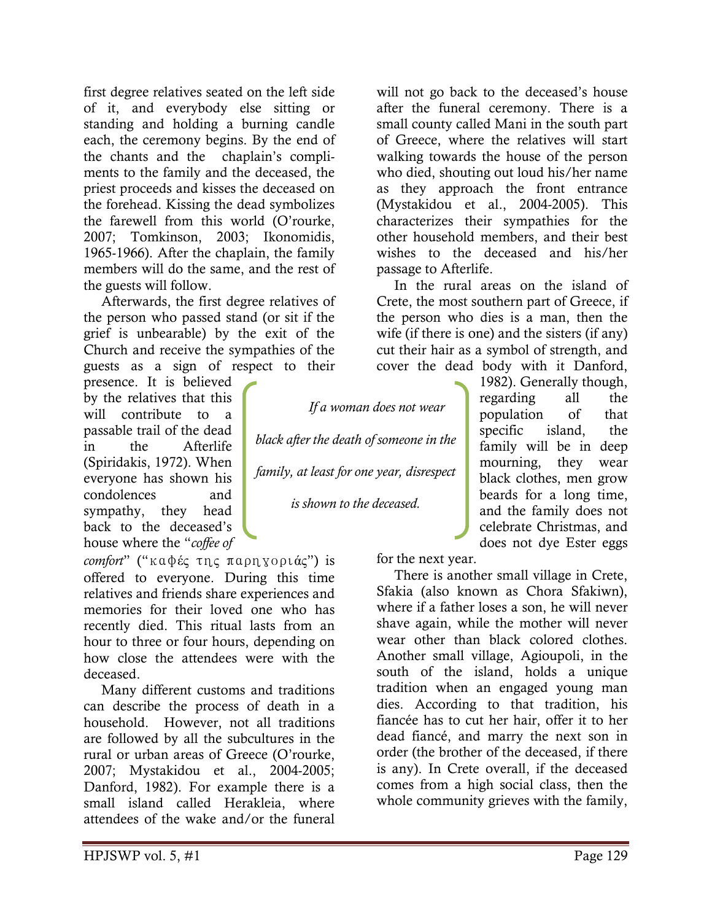first degree relatives seated on the left side of it, and everybody else sitting or standing and holding a burning candle each, the ceremony begins. By the end of the chants and the chaplain's compliments to the family and the deceased, the priest proceeds and kisses the deceased on the forehead. Kissing the dead symbolizes the farewell from this world (O'rourke, 2007; Tomkinson, 2003; Ikonomidis, 1965-1966). After the chaplain, the family members will do the same, and the rest of the guests will follow.

 Afterwards, the first degree relatives of the person who passed stand (or sit if the grief is unbearable) by the exit of the Church and receive the sympathies of the guests as a sign of respect to their

presence. It is believed by the relatives that this will contribute to a passable trail of the dead in the Afterlife (Spiridakis, 1972). When everyone has shown his condolences and sympathy, they head back to the deceased's house where the "coffee of

comfort" ("καφές της παρηγοριάς") is offered to everyone. During this time relatives and friends share experiences and memories for their loved one who has recently died. This ritual lasts from an hour to three or four hours, depending on how close the attendees were with the deceased.

 Many different customs and traditions can describe the process of death in a household. However, not all traditions are followed by all the subcultures in the rural or urban areas of Greece (O'rourke, 2007; Mystakidou et al., 2004-2005; Danford, 1982). For example there is a small island called Herakleia, where attendees of the wake and/or the funeral

will not go back to the deceased's house after the funeral ceremony. There is a small county called Mani in the south part of Greece, where the relatives will start walking towards the house of the person who died, shouting out loud his/her name as they approach the front entrance (Mystakidou et al., 2004-2005). This characterizes their sympathies for the other household members, and their best wishes to the deceased and his/her passage to Afterlife.

 In the rural areas on the island of Crete, the most southern part of Greece, if the person who dies is a man, then the wife (if there is one) and the sisters (if any) cut their hair as a symbol of strength, and cover the dead body with it Danford,

> 1982). Generally though, regarding all the population of that specific island, the family will be in deep mourning, they wear black clothes, men grow beards for a long time, and the family does not celebrate Christmas, and does not dye Ester eggs

black after the death of someone in the

If a woman does not wear

family, at least for one year, disrespect

is shown to the deceased.

for the next year.

 There is another small village in Crete, Sfakia (also known as Chora Sfakiwn), where if a father loses a son, he will never shave again, while the mother will never wear other than black colored clothes. Another small village, Agioupoli, in the south of the island, holds a unique tradition when an engaged young man dies. According to that tradition, his fiancée has to cut her hair, offer it to her dead fiancé, and marry the next son in order (the brother of the deceased, if there is any). In Crete overall, if the deceased comes from a high social class, then the whole community grieves with the family,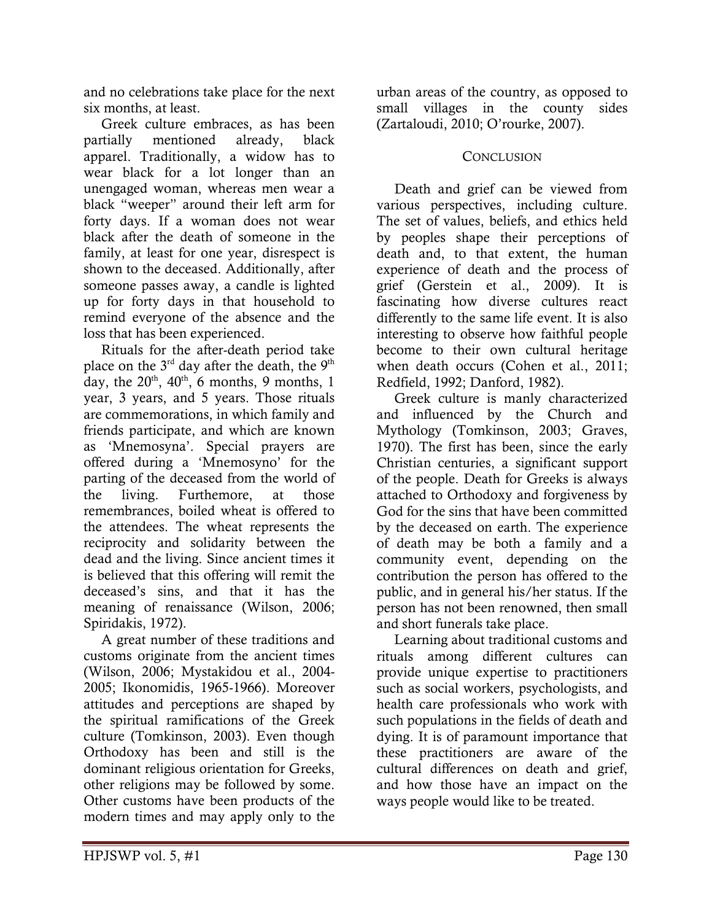and no celebrations take place for the next six months, at least.

 Greek culture embraces, as has been partially mentioned already, black apparel. Traditionally, a widow has to wear black for a lot longer than an unengaged woman, whereas men wear a black "weeper" around their left arm for forty days. If a woman does not wear black after the death of someone in the family, at least for one year, disrespect is shown to the deceased. Additionally, after someone passes away, a candle is lighted up for forty days in that household to remind everyone of the absence and the loss that has been experienced.

 Rituals for the after-death period take place on the  $3<sup>rd</sup>$  day after the death, the  $9<sup>th</sup>$ day, the  $20<sup>th</sup>$ ,  $40<sup>th</sup>$ , 6 months, 9 months, 1 year, 3 years, and 5 years. Those rituals are commemorations, in which family and friends participate, and which are known as 'Mnemosyna'. Special prayers are offered during a 'Mnemosyno' for the parting of the deceased from the world of the living. Furthemore, at those remembrances, boiled wheat is offered to the attendees. The wheat represents the reciprocity and solidarity between the dead and the living. Since ancient times it is believed that this offering will remit the deceased's sins, and that it has the meaning of renaissance (Wilson, 2006; Spiridakis, 1972).

 A great number of these traditions and customs originate from the ancient times (Wilson, 2006; Mystakidou et al., 2004- 2005; Ikonomidis, 1965-1966). Moreover attitudes and perceptions are shaped by the spiritual ramifications of the Greek culture (Tomkinson, 2003). Even though Orthodoxy has been and still is the dominant religious orientation for Greeks, other religions may be followed by some. Other customs have been products of the modern times and may apply only to the

urban areas of the country, as opposed to small villages in the county sides (Zartaloudi, 2010; O'rourke, 2007).

#### **CONCLUSION**

 Death and grief can be viewed from various perspectives, including culture. The set of values, beliefs, and ethics held by peoples shape their perceptions of death and, to that extent, the human experience of death and the process of grief (Gerstein et al., 2009). It is fascinating how diverse cultures react differently to the same life event. It is also interesting to observe how faithful people become to their own cultural heritage when death occurs (Cohen et al., 2011; Redfield, 1992; Danford, 1982).

 Greek culture is manly characterized and influenced by the Church and Mythology (Tomkinson, 2003; Graves, 1970). The first has been, since the early Christian centuries, a significant support of the people. Death for Greeks is always attached to Orthodoxy and forgiveness by God for the sins that have been committed by the deceased on earth. The experience of death may be both a family and a community event, depending on the contribution the person has offered to the public, and in general his/her status. If the person has not been renowned, then small and short funerals take place.

 Learning about traditional customs and rituals among different cultures can provide unique expertise to practitioners such as social workers, psychologists, and health care professionals who work with such populations in the fields of death and dying. It is of paramount importance that these practitioners are aware of the cultural differences on death and grief, and how those have an impact on the ways people would like to be treated.